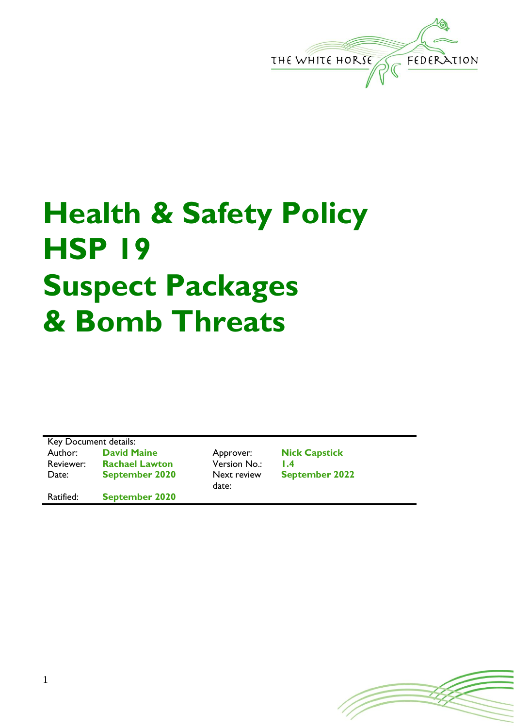

## **Health & Safety Policy HSP 19 Suspect Packages & Bomb Threats**

| Key Document details: |                       |  |  |
|-----------------------|-----------------------|--|--|
| Author:               | <b>David Maine</b>    |  |  |
| Reviewer:             | <b>Rachael Lawtor</b> |  |  |
| Date:                 | <b>September 202</b>  |  |  |
|                       |                       |  |  |

Ratified: **September 2020**

Reviewer: **Rachael Lawton** Version No.: **1.4 0** Next review date:

Approver: **Nick Capstick September 2022**

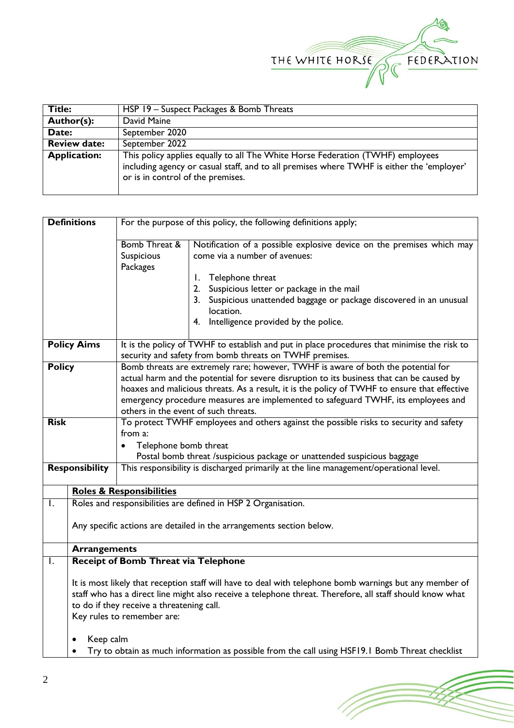

| Title:              | HSP 19 - Suspect Packages & Bomb Threats                                                                                                                                                                         |  |  |
|---------------------|------------------------------------------------------------------------------------------------------------------------------------------------------------------------------------------------------------------|--|--|
| Author(s):          | David Maine                                                                                                                                                                                                      |  |  |
| Date:               | September 2020                                                                                                                                                                                                   |  |  |
| <b>Review date:</b> | September 2022                                                                                                                                                                                                   |  |  |
| <b>Application:</b> | This policy applies equally to all The White Horse Federation (TWHF) employees<br>including agency or casual staff, and to all premises where TWHF is either the 'employer'<br>or is in control of the premises. |  |  |

|                | <b>Definitions</b>                                                                                                                                                                                                                                                                             | For the purpose of this policy, the following definitions apply;                                                                                                                                                                                                                                                                                                                                            |                                                                                                                                                                                                                                                                                                                 |  |
|----------------|------------------------------------------------------------------------------------------------------------------------------------------------------------------------------------------------------------------------------------------------------------------------------------------------|-------------------------------------------------------------------------------------------------------------------------------------------------------------------------------------------------------------------------------------------------------------------------------------------------------------------------------------------------------------------------------------------------------------|-----------------------------------------------------------------------------------------------------------------------------------------------------------------------------------------------------------------------------------------------------------------------------------------------------------------|--|
|                |                                                                                                                                                                                                                                                                                                | <b>Bomb Threat &amp;</b><br>Suspicious<br>Packages                                                                                                                                                                                                                                                                                                                                                          | Notification of a possible explosive device on the premises which may<br>come via a number of avenues:<br>Telephone threat<br>Ι.<br>2. Suspicious letter or package in the mail<br>3. Suspicious unattended baggage or package discovered in an unusual<br>location.<br>4. Intelligence provided by the police. |  |
|                | <b>Policy Aims</b><br>It is the policy of TWHF to establish and put in place procedures that minimise the risk to<br>security and safety from bomb threats on TWHF premises.                                                                                                                   |                                                                                                                                                                                                                                                                                                                                                                                                             |                                                                                                                                                                                                                                                                                                                 |  |
| <b>Policy</b>  |                                                                                                                                                                                                                                                                                                | Bomb threats are extremely rare; however, TWHF is aware of both the potential for<br>actual harm and the potential for severe disruption to its business that can be caused by<br>hoaxes and malicious threats. As a result, it is the policy of TWHF to ensure that effective<br>emergency procedure measures are implemented to safeguard TWHF, its employees and<br>others in the event of such threats. |                                                                                                                                                                                                                                                                                                                 |  |
| <b>Risk</b>    |                                                                                                                                                                                                                                                                                                | To protect TWHF employees and others against the possible risks to security and safety                                                                                                                                                                                                                                                                                                                      |                                                                                                                                                                                                                                                                                                                 |  |
|                | from a:<br>Telephone bomb threat<br>$\bullet$<br>Postal bomb threat /suspicious package or unattended suspicious baggage                                                                                                                                                                       |                                                                                                                                                                                                                                                                                                                                                                                                             |                                                                                                                                                                                                                                                                                                                 |  |
|                | <b>Responsibility</b>                                                                                                                                                                                                                                                                          |                                                                                                                                                                                                                                                                                                                                                                                                             | This responsibility is discharged primarily at the line management/operational level.                                                                                                                                                                                                                           |  |
|                |                                                                                                                                                                                                                                                                                                | <b>Roles &amp; Responsibilities</b>                                                                                                                                                                                                                                                                                                                                                                         |                                                                                                                                                                                                                                                                                                                 |  |
| $\mathsf{L}$   |                                                                                                                                                                                                                                                                                                |                                                                                                                                                                                                                                                                                                                                                                                                             | Roles and responsibilities are defined in HSP 2 Organisation.                                                                                                                                                                                                                                                   |  |
|                | Any specific actions are detailed in the arrangements section below.                                                                                                                                                                                                                           |                                                                                                                                                                                                                                                                                                                                                                                                             |                                                                                                                                                                                                                                                                                                                 |  |
|                | <b>Arrangements</b>                                                                                                                                                                                                                                                                            |                                                                                                                                                                                                                                                                                                                                                                                                             |                                                                                                                                                                                                                                                                                                                 |  |
| $\overline{L}$ |                                                                                                                                                                                                                                                                                                | <b>Receipt of Bomb Threat via Telephone</b>                                                                                                                                                                                                                                                                                                                                                                 |                                                                                                                                                                                                                                                                                                                 |  |
|                | It is most likely that reception staff will have to deal with telephone bomb warnings but any member of<br>staff who has a direct line might also receive a telephone threat. Therefore, all staff should know what<br>to do if they receive a threatening call.<br>Key rules to remember are: |                                                                                                                                                                                                                                                                                                                                                                                                             |                                                                                                                                                                                                                                                                                                                 |  |
|                | Keep calm                                                                                                                                                                                                                                                                                      |                                                                                                                                                                                                                                                                                                                                                                                                             |                                                                                                                                                                                                                                                                                                                 |  |
|                | Try to obtain as much information as possible from the call using HSF19.1 Bomb Threat checklist                                                                                                                                                                                                |                                                                                                                                                                                                                                                                                                                                                                                                             |                                                                                                                                                                                                                                                                                                                 |  |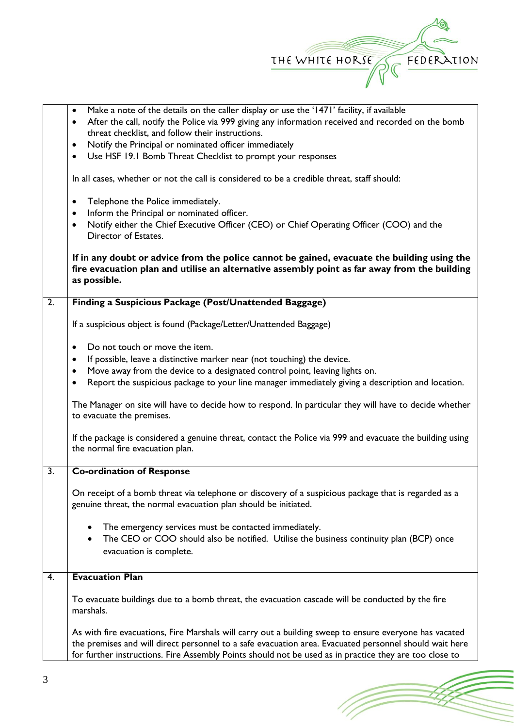

(Topon

|                                                                    | Make a note of the details on the caller display or use the '1471' facility, if available<br>$\bullet$                                                                                                           |  |  |  |  |  |
|--------------------------------------------------------------------|------------------------------------------------------------------------------------------------------------------------------------------------------------------------------------------------------------------|--|--|--|--|--|
|                                                                    |                                                                                                                                                                                                                  |  |  |  |  |  |
|                                                                    | After the call, notify the Police via 999 giving any information received and recorded on the bomb<br>$\bullet$                                                                                                  |  |  |  |  |  |
|                                                                    | threat checklist, and follow their instructions.                                                                                                                                                                 |  |  |  |  |  |
| Notify the Principal or nominated officer immediately<br>$\bullet$ |                                                                                                                                                                                                                  |  |  |  |  |  |
|                                                                    | Use HSF 19.1 Bomb Threat Checklist to prompt your responses<br>$\bullet$                                                                                                                                         |  |  |  |  |  |
|                                                                    | In all cases, whether or not the call is considered to be a credible threat, staff should:                                                                                                                       |  |  |  |  |  |
|                                                                    | Telephone the Police immediately.<br>$\bullet$                                                                                                                                                                   |  |  |  |  |  |
|                                                                    | Inform the Principal or nominated officer.<br>$\bullet$                                                                                                                                                          |  |  |  |  |  |
|                                                                    | Notify either the Chief Executive Officer (CEO) or Chief Operating Officer (COO) and the<br>$\bullet$<br>Director of Estates.                                                                                    |  |  |  |  |  |
|                                                                    | If in any doubt or advice from the police cannot be gained, evacuate the building using the<br>fire evacuation plan and utilise an alternative assembly point as far away from the building<br>as possible.      |  |  |  |  |  |
| $\overline{2}$ .                                                   | Finding a Suspicious Package (Post/Unattended Baggage)                                                                                                                                                           |  |  |  |  |  |
|                                                                    | If a suspicious object is found (Package/Letter/Unattended Baggage)                                                                                                                                              |  |  |  |  |  |
|                                                                    | Do not touch or move the item.<br>$\bullet$                                                                                                                                                                      |  |  |  |  |  |
|                                                                    | If possible, leave a distinctive marker near (not touching) the device.                                                                                                                                          |  |  |  |  |  |
|                                                                    | Move away from the device to a designated control point, leaving lights on.                                                                                                                                      |  |  |  |  |  |
|                                                                    |                                                                                                                                                                                                                  |  |  |  |  |  |
|                                                                    | Report the suspicious package to your line manager immediately giving a description and location.<br>٠                                                                                                           |  |  |  |  |  |
|                                                                    | The Manager on site will have to decide how to respond. In particular they will have to decide whether<br>to evacuate the premises.                                                                              |  |  |  |  |  |
|                                                                    | If the package is considered a genuine threat, contact the Police via 999 and evacuate the building using<br>the normal fire evacuation plan.                                                                    |  |  |  |  |  |
| 3.                                                                 | <b>Co-ordination of Response</b>                                                                                                                                                                                 |  |  |  |  |  |
|                                                                    | On receipt of a bomb threat via telephone or discovery of a suspicious package that is regarded as a<br>genuine threat, the normal evacuation plan should be initiated.                                          |  |  |  |  |  |
|                                                                    | The emergency services must be contacted immediately.<br>٠                                                                                                                                                       |  |  |  |  |  |
|                                                                    | The CEO or COO should also be notified. Utilise the business continuity plan (BCP) once<br>$\bullet$                                                                                                             |  |  |  |  |  |
|                                                                    | evacuation is complete.                                                                                                                                                                                          |  |  |  |  |  |
| 4.                                                                 | <b>Evacuation Plan</b>                                                                                                                                                                                           |  |  |  |  |  |
|                                                                    | To evacuate buildings due to a bomb threat, the evacuation cascade will be conducted by the fire<br>marshals.                                                                                                    |  |  |  |  |  |
|                                                                    | As with fire evacuations, Fire Marshals will carry out a building sweep to ensure everyone has vacated<br>the premises and will direct personnel to a safe evacuation area. Evacuated personnel should wait here |  |  |  |  |  |
|                                                                    | for further instructions. Fire Assembly Points should not be used as in practice they are too close to                                                                                                           |  |  |  |  |  |